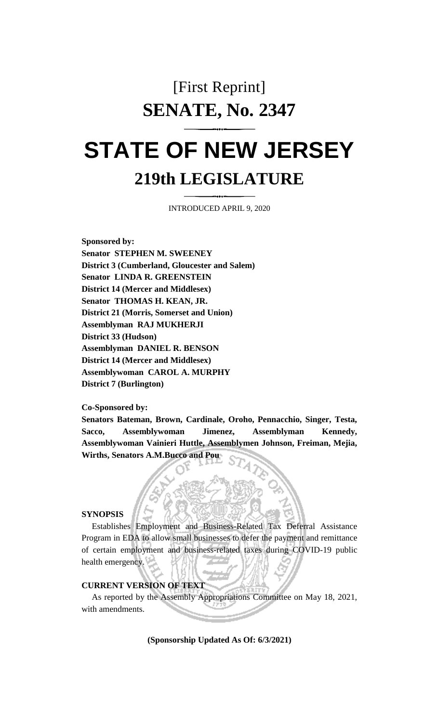## [First Reprint] **SENATE, No. 2347**

# **STATE OF NEW JERSEY 219th LEGISLATURE**

INTRODUCED APRIL 9, 2020

**Sponsored by: Senator STEPHEN M. SWEENEY District 3 (Cumberland, Gloucester and Salem) Senator LINDA R. GREENSTEIN District 14 (Mercer and Middlesex) Senator THOMAS H. KEAN, JR. District 21 (Morris, Somerset and Union) Assemblyman RAJ MUKHERJI District 33 (Hudson) Assemblyman DANIEL R. BENSON District 14 (Mercer and Middlesex) Assemblywoman CAROL A. MURPHY District 7 (Burlington)**

**Co-Sponsored by:**

**Senators Bateman, Brown, Cardinale, Oroho, Pennacchio, Singer, Testa, Sacco, Assemblywoman Jimenez, Assemblyman Kennedy, Assemblywoman Vainieri Huttle, Assemblymen Johnson, Freiman, Mejia, Wirths, Senators A.M.Bucco and Pou**

#### **SYNOPSIS**

Establishes Employment and Business-Related Tax Deferral Assistance Program in EDA to allow small businesses to defer the payment and remittance of certain employment and business-related taxes during COVID-19 public health emergency.

#### **CURRENT VERSION OF TEXT**

As reported by the Assembly Appropriations Committee on May 18, 2021, with amendments.

**(Sponsorship Updated As Of: 6/3/2021)**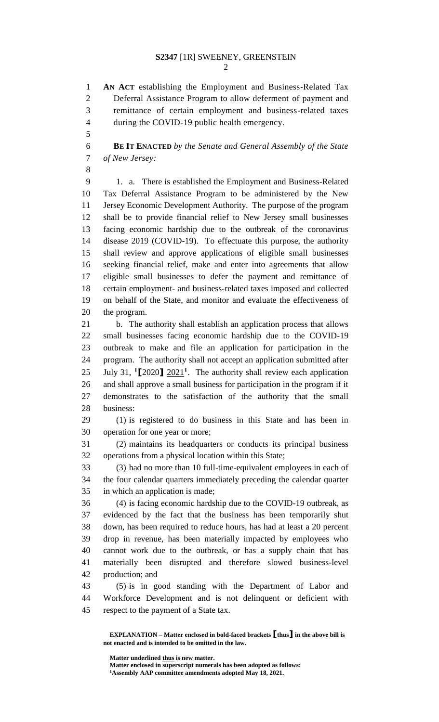### **S2347** [1R] SWEENEY, GREENSTEIN

 **AN ACT** establishing the Employment and Business-Related Tax Deferral Assistance Program to allow deferment of payment and remittance of certain employment and business-related taxes during the COVID-19 public health emergency.

 **BE IT ENACTED** *by the Senate and General Assembly of the State of New Jersey:*

 1. a. There is established the Employment and Business-Related Tax Deferral Assistance Program to be administered by the New Jersey Economic Development Authority. The purpose of the program shall be to provide financial relief to New Jersey small businesses facing economic hardship due to the outbreak of the coronavirus disease 2019 (COVID-19). To effectuate this purpose, the authority shall review and approve applications of eligible small businesses seeking financial relief, make and enter into agreements that allow eligible small businesses to defer the payment and remittance of certain employment- and business-related taxes imposed and collected on behalf of the State, and monitor and evaluate the effectiveness of the program.

 b. The authority shall establish an application process that allows small businesses facing economic hardship due to the COVID-19 outbreak to make and file an application for participation in the program. The authority shall not accept an application submitted after 25 July 31,  $\binom{1}{2020}$   $\frac{2021}{1}$ . The authority shall review each application and shall approve a small business for participation in the program if it demonstrates to the satisfaction of the authority that the small business:

 (1) is registered to do business in this State and has been in operation for one year or more;

 (2) maintains its headquarters or conducts its principal business operations from a physical location within this State;

 (3) had no more than 10 full-time-equivalent employees in each of the four calendar quarters immediately preceding the calendar quarter in which an application is made;

 (4) is facing economic hardship due to the COVID-19 outbreak, as evidenced by the fact that the business has been temporarily shut down, has been required to reduce hours, has had at least a 20 percent drop in revenue, has been materially impacted by employees who cannot work due to the outbreak, or has a supply chain that has materially been disrupted and therefore slowed business-level production; and

 (5) is in good standing with the Department of Labor and Workforce Development and is not delinquent or deficient with respect to the payment of a State tax.

**Matter underlined thus is new matter.**

**Matter enclosed in superscript numerals has been adopted as follows: Assembly AAP committee amendments adopted May 18, 2021.**

**EXPLANATION – Matter enclosed in bold-faced brackets [thus] in the above bill is not enacted and is intended to be omitted in the law.**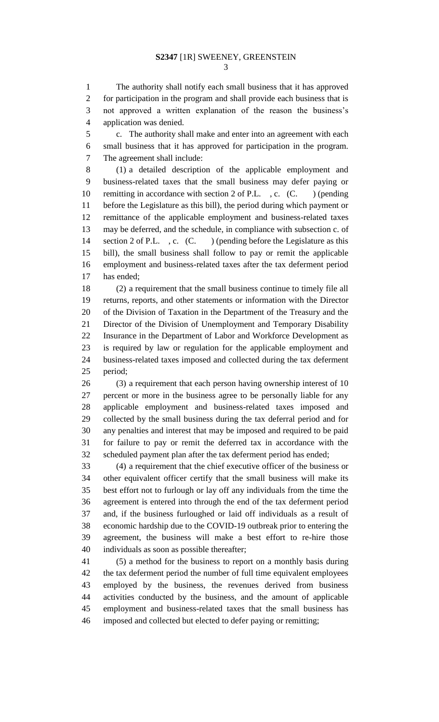The authority shall notify each small business that it has approved for participation in the program and shall provide each business that is not approved a written explanation of the reason the business's application was denied.

 c. The authority shall make and enter into an agreement with each small business that it has approved for participation in the program. The agreement shall include:

 (1) a detailed description of the applicable employment and business-related taxes that the small business may defer paying or 10 remitting in accordance with section 2 of P.L., c. (C. ) (pending before the Legislature as this bill), the period during which payment or remittance of the applicable employment and business-related taxes may be deferred, and the schedule, in compliance with subsection c. of 14 section 2 of P.L., c. (C.) (pending before the Legislature as this bill), the small business shall follow to pay or remit the applicable employment and business-related taxes after the tax deferment period has ended;

 (2) a requirement that the small business continue to timely file all returns, reports, and other statements or information with the Director of the Division of Taxation in the Department of the Treasury and the Director of the Division of Unemployment and Temporary Disability Insurance in the Department of Labor and Workforce Development as is required by law or regulation for the applicable employment and business-related taxes imposed and collected during the tax deferment period;

 (3) a requirement that each person having ownership interest of 10 percent or more in the business agree to be personally liable for any applicable employment and business-related taxes imposed and collected by the small business during the tax deferral period and for any penalties and interest that may be imposed and required to be paid for failure to pay or remit the deferred tax in accordance with the scheduled payment plan after the tax deferment period has ended;

 (4) a requirement that the chief executive officer of the business or other equivalent officer certify that the small business will make its best effort not to furlough or lay off any individuals from the time the agreement is entered into through the end of the tax deferment period and, if the business furloughed or laid off individuals as a result of economic hardship due to the COVID-19 outbreak prior to entering the agreement, the business will make a best effort to re-hire those individuals as soon as possible thereafter;

 (5) a method for the business to report on a monthly basis during the tax deferment period the number of full time equivalent employees employed by the business, the revenues derived from business activities conducted by the business, and the amount of applicable employment and business-related taxes that the small business has imposed and collected but elected to defer paying or remitting;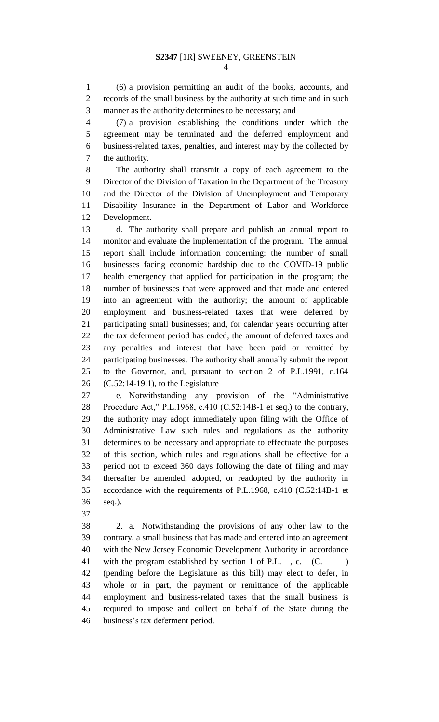(6) a provision permitting an audit of the books, accounts, and records of the small business by the authority at such time and in such manner as the authority determines to be necessary; and

 (7) a provision establishing the conditions under which the agreement may be terminated and the deferred employment and business-related taxes, penalties, and interest may by the collected by the authority.

 The authority shall transmit a copy of each agreement to the Director of the Division of Taxation in the Department of the Treasury and the Director of the Division of Unemployment and Temporary Disability Insurance in the Department of Labor and Workforce Development.

 d. The authority shall prepare and publish an annual report to monitor and evaluate the implementation of the program. The annual report shall include information concerning: the number of small businesses facing economic hardship due to the COVID-19 public health emergency that applied for participation in the program; the number of businesses that were approved and that made and entered into an agreement with the authority; the amount of applicable employment and business-related taxes that were deferred by participating small businesses; and, for calendar years occurring after the tax deferment period has ended, the amount of deferred taxes and any penalties and interest that have been paid or remitted by participating businesses. The authority shall annually submit the report to the Governor, and, pursuant to section 2 of P.L.1991, c.164 (C.52:14-19.1), to the Legislature

 e. Notwithstanding any provision of the "Administrative Procedure Act," P.L.1968, c.410 (C.52:14B-1 et seq.) to the contrary, the authority may adopt immediately upon filing with the Office of Administrative Law such rules and regulations as the authority determines to be necessary and appropriate to effectuate the purposes of this section, which rules and regulations shall be effective for a period not to exceed 360 days following the date of filing and may thereafter be amended, adopted, or readopted by the authority in accordance with the requirements of P.L.1968, c.410 (C.52:14B-1 et seq.).

 2. a. Notwithstanding the provisions of any other law to the contrary, a small business that has made and entered into an agreement with the New Jersey Economic Development Authority in accordance 41 with the program established by section 1 of P.L., c. (C. (pending before the Legislature as this bill) may elect to defer, in whole or in part, the payment or remittance of the applicable employment and business-related taxes that the small business is required to impose and collect on behalf of the State during the business's tax deferment period.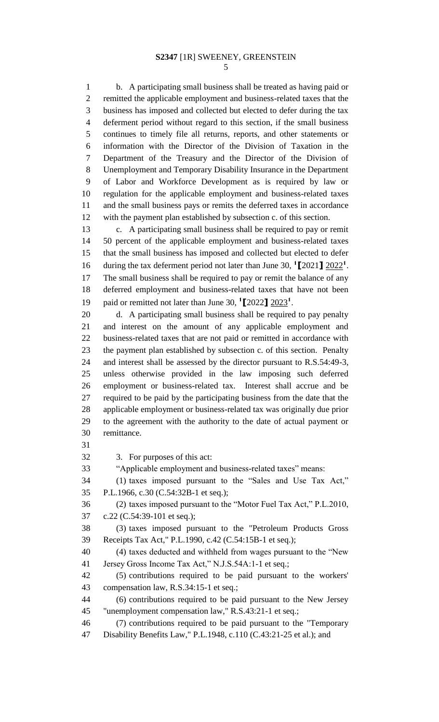b. A participating small business shall be treated as having paid or remitted the applicable employment and business-related taxes that the business has imposed and collected but elected to defer during the tax deferment period without regard to this section, if the small business continues to timely file all returns, reports, and other statements or information with the Director of the Division of Taxation in the Department of the Treasury and the Director of the Division of Unemployment and Temporary Disability Insurance in the Department of Labor and Workforce Development as is required by law or regulation for the applicable employment and business-related taxes and the small business pays or remits the deferred taxes in accordance with the payment plan established by subsection c. of this section.

 c. A participating small business shall be required to pay or remit 50 percent of the applicable employment and business-related taxes that the small business has imposed and collected but elected to defer 16 during the tax deferment period not later than June 30,  $\binom{1}{2}$   $\frac{2022}{1}$ . The small business shall be required to pay or remit the balance of any deferred employment and business-related taxes that have not been 19 paid or remitted not later than June 30, <sup>1</sup>[2022]  $\frac{2023}{1}$ .

 d. A participating small business shall be required to pay penalty and interest on the amount of any applicable employment and business-related taxes that are not paid or remitted in accordance with the payment plan established by subsection c. of this section. Penalty and interest shall be assessed by the director pursuant to R.S.54:49-3, unless otherwise provided in the law imposing such deferred employment or business-related tax. Interest shall accrue and be required to be paid by the participating business from the date that the applicable employment or business-related tax was originally due prior to the agreement with the authority to the date of actual payment or remittance.

3. For purposes of this act:

"Applicable employment and business-related taxes" means:

 (1) taxes imposed pursuant to the "Sales and Use Tax Act," P.L.1966, c.30 (C.54:32B-1 et seq.);

 (2) taxes imposed pursuant to the "Motor Fuel Tax Act," P.L.2010, c.22 (C.54:39-101 et seq.);

 (3) taxes imposed pursuant to the "Petroleum Products Gross Receipts Tax Act," P.L.1990, c.42 (C.54:15B-1 et seq.);

 (4) taxes deducted and withheld from wages pursuant to the "New Jersey Gross Income Tax Act," N.J.S.54A:1-1 et seq.;

 (5) contributions required to be paid pursuant to the workers' compensation law, R.S.34:15-1 et seq.;

 (6) contributions required to be paid pursuant to the New Jersey "unemployment compensation law," R.S.43:21-1 et seq.;

 (7) contributions required to be paid pursuant to the "Temporary Disability Benefits Law," P.L.1948, c.110 (C.43:21-25 et al.); and